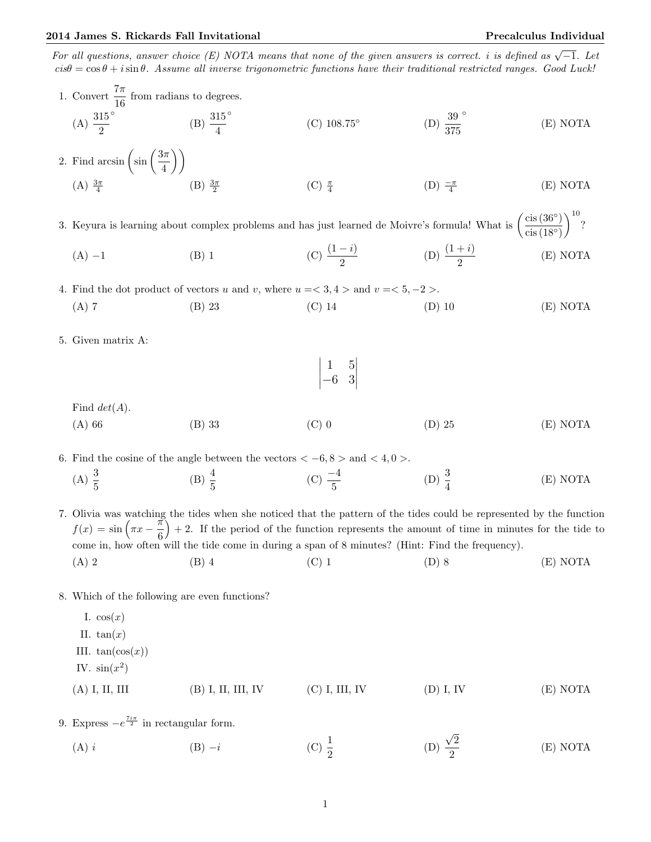For all questions, answer choice (E) NOTA means that none of the given answers is correct. i is defined as  $\sqrt{-1}$ . Let  $cis\theta = \cos\theta + i\sin\theta$ . Assume all inverse trigonometric functions have their traditional restricted ranges. Good Luck!

1. Convert 
$$
\frac{7\pi}{6}
$$
 from radians to degrees.  
\n(A)  $\frac{315}{2}$   
\n(B)  $\frac{315}{4}$   
\n(C) 108.75<sup>o</sup>  
\n(D)  $\frac{39}{375}$   
\n3. Keyura is learning about complex problems and has just learned de Moivre's formula What is  $\left(\frac{\text{cis}(36^\circ)}{\text{cis}(18^\circ)}\right)^{10}$   
\n(A)  $\frac{5\pi}{4}$   
\n(B)  $\frac{3\pi}{2}$   
\n(C)  $\frac{\pi}{2}$   
\n(D)  $\frac{-\pi}{4}$   
\n(E) NOTA  
\n3. Keyura is learning about complex problems and has just learned de Moivre's formula What is  $\left(\frac{\text{cis}(36^\circ)}{\text{cis}(18^\circ)}\right)^{10}$   
\n(A) -1  
\n(B) 1  
\n(C)  $\frac{(1-i)}{2}$   
\n(D)  $\frac{(1+i)}{2}$   
\n(E) NOTA  
\n4. Find the dot product of vectors *u* and *v*, where *u* = *x* = 3, 4 > and *v* = *x* = 5, –2 >.  
\n(A) 7  
\n5. Given matrix A:  
\n $\begin{vmatrix} 1 & 5 \\ -6 & 3 \end{vmatrix}$   
\nFind *det(A)*.  
\n(A) 66  
\n(B) 33  
\n(C) 0  
\n(D) 25  
\n(E) NOTA  
\n6. Find the cosine of the angle between the vectors *x* = 6, 8 > and *x* = 4, 0 >.  
\n(A)  $\frac{3}{5}$   
\n(B)  $\frac{4}{5}$   
\n(C)  $\frac{-4}{5}$   
\n(D)  $\frac{3}{4}$   
\n(E) NOTA  
\n6. Find the cosine of the angle between the vectors *x* = 6, 8 > and *x* = 4, 0 >.  
\n(A)  $\frac{3}{5}$   
\n(B)  $\frac{4}{5}$   
\n(C)  $\frac{-4}{5}$   
\n(D)  $\frac{3}{4}$   
\n(E) NOTA  
\n6. Find the cosine of the angle between the vectors *x* = 6, 8 > and <

(A) i (B)  $-i$  (C)  $\frac{1}{2}$ (D) 2 2 (E) NOTA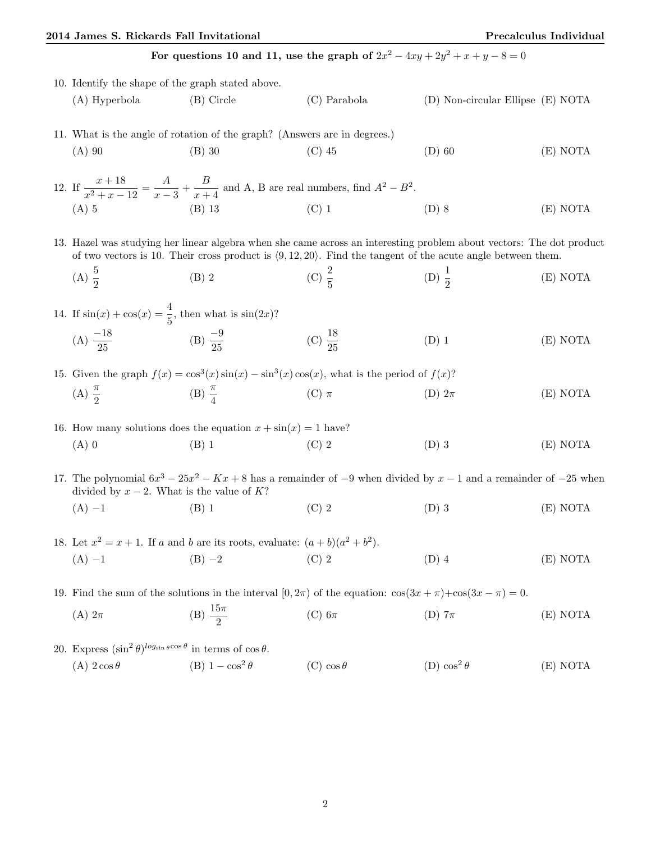## 2014 James S. Rickards Fall Invitational Precalculus Individual

For questions 10 and 11, use the graph of  $2x^2 - 4xy + 2y^2 + x + y - 8 = 0$ 

|                                                                           | 10. Identify the shape of the graph stated above.                                                                                                                                                                                      |                                                                                                                          |                     |                                   |          |
|---------------------------------------------------------------------------|----------------------------------------------------------------------------------------------------------------------------------------------------------------------------------------------------------------------------------------|--------------------------------------------------------------------------------------------------------------------------|---------------------|-----------------------------------|----------|
|                                                                           | (A) Hyperbola                                                                                                                                                                                                                          | $(B)$ Circle                                                                                                             | $(C)$ Parabola      | (D) Non-circular Ellipse (E) NOTA |          |
| 11. What is the angle of rotation of the graph? (Answers are in degrees.) |                                                                                                                                                                                                                                        |                                                                                                                          |                     |                                   |          |
|                                                                           | $(A)$ 90                                                                                                                                                                                                                               | $(B)$ 30                                                                                                                 | $(C)$ 45            | $(D)$ 60                          | (E) NOTA |
|                                                                           |                                                                                                                                                                                                                                        | 12. If $\frac{x+18}{x^2+x-12} = \frac{A}{x-3} + \frac{B}{x+4}$ and A, B are real numbers, find $A^2 - B^2$ .             |                     |                                   |          |
|                                                                           | $(A)$ 5                                                                                                                                                                                                                                | $(B)$ 13                                                                                                                 | $(C)$ 1             | $(D)$ 8                           | (E) NOTA |
|                                                                           | 13. Hazel was studying her linear algebra when she came across an interesting problem about vectors: The dot product<br>of two vectors is 10. Their cross product is $(9, 12, 20)$ . Find the tangent of the acute angle between them. |                                                                                                                          |                     |                                   |          |
|                                                                           | (A) $\frac{5}{2}$                                                                                                                                                                                                                      | $(B)$ 2                                                                                                                  | (C) $\frac{2}{5}$   | (D) $\frac{1}{2}$                 | (E) NOTA |
|                                                                           | 14. If $sin(x) + cos(x) = \frac{4}{5}$ , then what is $sin(2x)$ ?                                                                                                                                                                      |                                                                                                                          |                     |                                   |          |
|                                                                           | (A) $\frac{-18}{25}$ (B) $\frac{-9}{25}$                                                                                                                                                                                               |                                                                                                                          | (C) $\frac{18}{25}$ | $(D)$ 1                           | (E) NOTA |
|                                                                           | 15. Given the graph $f(x) = \cos^3(x)\sin(x) - \sin^3(x)\cos(x)$ , what is the period of $f(x)$ ?                                                                                                                                      |                                                                                                                          |                     |                                   |          |
|                                                                           | (A) $\frac{\pi}{2}$                                                                                                                                                                                                                    | $(B) \frac{\pi}{4}$                                                                                                      | (C) $\pi$           | (D) $2\pi$                        | (E) NOTA |
| 16. How many solutions does the equation $x + \sin(x) = 1$ have?          |                                                                                                                                                                                                                                        |                                                                                                                          |                     |                                   |          |
|                                                                           | $(A)$ 0                                                                                                                                                                                                                                | $(B)$ 1                                                                                                                  | $(C)$ 2             | $(D)$ 3                           | (E) NOTA |
|                                                                           | divided by $x - 2$ . What is the value of K?                                                                                                                                                                                           | 17. The polynomial $6x^3 - 25x^2 - Kx + 8$ has a remainder of $-9$ when divided by $x - 1$ and a remainder of $-25$ when |                     |                                   |          |
|                                                                           | $(A) -1$                                                                                                                                                                                                                               | $(B)$ 1                                                                                                                  | $(C)$ 2             | $(D)$ 3                           | (E) NOTA |
|                                                                           | 18. Let $x^2 = x + 1$ . If a and b are its roots, evaluate: $(a + b)(a^2 + b^2)$ .                                                                                                                                                     |                                                                                                                          |                     |                                   |          |
|                                                                           | $(A) -1$                                                                                                                                                                                                                               | $(C)$ 2<br>$(B) -2$                                                                                                      |                     | $(D)$ 4                           | (E) NOTA |
|                                                                           | 19. Find the sum of the solutions in the interval $[0,2\pi)$ of the equation: $\cos(3x + \pi) + \cos(3x - \pi) = 0$ .                                                                                                                  |                                                                                                                          |                     |                                   |          |
|                                                                           | $(A)$ $2\pi$                                                                                                                                                                                                                           | (B) $\frac{15\pi}{2}$                                                                                                    | $(C)$ 6 $\pi$       | (D) $7\pi$                        | (E) NOTA |
|                                                                           | 20. Express $(\sin^2 \theta)^{\log_{\sin \theta} \cos \theta}$ in terms of $\cos \theta$ .                                                                                                                                             |                                                                                                                          |                     |                                   |          |
|                                                                           | (A) $2\cos\theta$                                                                                                                                                                                                                      | (B) $1 - \cos^2 \theta$                                                                                                  | $(C) \cos \theta$   | (D) $\cos^2\theta$                | (E) NOTA |